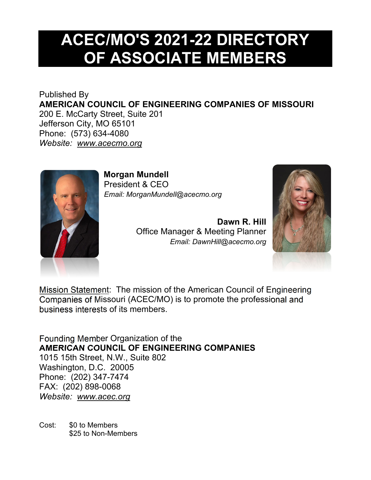# **ACEC/MO'S 2021-22 DIRECTORY OF ASSOCIATE MEMBERS**

Published By **AMERICAN COUNCIL OF ENGINEERING COMPANIES OF MISSOURI** 200 E. McCarty Street, Suite 201 Jefferson City, MO 65101 Phone: (573) 634-4080 *Website: www.acecmo.org* 



**Morgan Mundell**  President & CEO *Email: MorganMundell@acecmo.org* 

> **Dawn R. Hill**  Office Manager & Meeting Planner *Email: DawnHill@acecmo.org*



Mission Statement: The mission of the American Council of Engineering Companies of Missouri (ACEC/MO) is to promote the professional and business interests of its members.

Founding Member Organization of the **AMERICAN COUNCIL OF ENGINEERING COMPANIES**  1015 15th Street, N.W., Suite 802 Washington, D.C. 20005 Phone: (202) 347-7474 FAX: (202) 898-0068 *Website: www.acec.org* 

Cost: \$0 to Members \$25 to Non-Members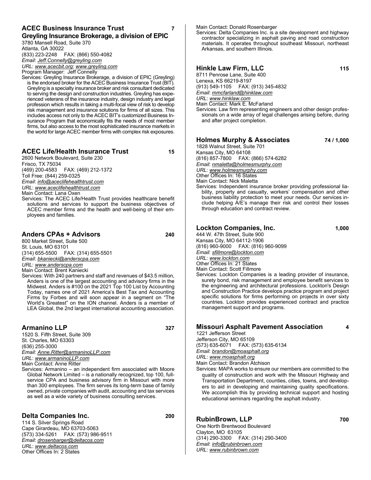#### **ACEC Business Insurance Trust 7 Greyling Insurance Brokerage, a division of EPIC**

3780 Mansell Road, Suite 370 Atlanta, GA 30022 (833) 223-2248 FAX: (866) 550-4082 *Email*: *Jeff.Connelly@greyling.com URL*: *www.acecbit.org*; *www.greyling.com*

Program Manager: Jeff Connelly

Services: Greyling Insurance Brokerage, a division of EPIC (Greyling) is the endorsed broker for the ACEC Business Insurance Trust (BIT). Greyling is a specialty insurance broker and risk consultant dedicated to serving the design and construction industries. Greyling has experienced veterans of the insurance industry, design industry and legal profession which results in taking a multi-focal view of risk to develop risk management and insurance solutions for firms of all sizes. This includes access not only to the ACEC BIT's customized Business Insurance Program that economically fits the needs of most member firms, but also access to the most sophisticated insurance markets in the world for large ACEC member firms with complex risk exposures.

#### **ACEC Life/Health Insurance Trust 15**

2600 Network Boulevard, Suite 230 Frisco, TX 75034

(469) 200-4583 FAX: (469) 212-1372 Toll Free: (844) 259-0325

*Email*: *info@aceclifehealthtrust.com URL*: *www.aceclifehealthtrust.com*

Main Contact: Lana Oxen

Services: The ACEC Life/Health Trust provides healthcare benefit solutions and services to support the business objectives of ACEC member firms and the health and well-being of their employees and families.

## **Anders CPAs + Advisors 240**

800 Market Street, Suite 500 St. Louis, MO 63101 (314) 655-5500 FAX: (314) 655-5501 *Email*: *bkaniecki@anderscpa.com URL*: *www.anderscpa.com*

Main Contact: Brent Kaniecki Services: With 240 partners and staff and revenues of \$43.5 million,

Anders is one of the largest accounting and advisory firms in the Midwest. Anders is #100 on the 2021 Top 100 List by Accounting Today, names one of 2021 America's Best Tax and Accounting Firms by Forbes and will soon appear in a segment on "The World's Greatest" on the ION channel. Anders is a member of LEA Global, the 2nd largest international accounting association.

## **Armanino LLP 327**

1520 S. Fifth Street, Suite 309 St. Charles, MO 63303 (636) 255-3000 *Email*: *Anne.Ritter@armaninoLLP.com URL*: *www.armaninoLLP.com*

Main Contact: Anne Ritter

Services: Armanino – an independent firm associated with Moore Global Network Limited – is a nationally recognized, top 100, fullservice CPA and business advisory firm in Missouri with more than 300 employees. The firm serves its long-term base of family owned, private companies with audit, accounting and tax services as well as a wide variety of business consulting services.

## **Delta Companies Inc. 200**

114 S. Silver Springs Road Cape Girardeau, MO 63703-5063 (573) 334-5261 FAX: (573) 986-9511 *Email*: *drosenbarger@deltacos.com URL*: *www.deltacos.com* Other Offices In: 2 States

Main Contact: Donald Rosenbarger

Services: Delta Companies Inc. is a site development and highway contractor specializing in asphalt paving and road construction materials. It operates throughout southeast Missouri, northeast Arkansas, and southern Illinois.

**Hinkle Law Firm, LLC 115**  8711 Penrose Lane, Suite 400 Lenexa, KS 66219-8197 (913) 549-1105 FAX: (913) 345-4832 *Email*: *mmcfarland@hinklaw.com URL*: *www.hinklaw.com* Main Contact: Mark E. McFarland Services: Law firm representing engineers and other design professionals on a wide array of legal challenges arising before, during and after project completion.

#### **Holmes Murphy & Associates 74 / 1,000**

1828 Walnut Street, Suite 701 Kansas City, MO 64108 (816) 857-7800 FAX: (866) 574-6282 *Email*: *nmaletta@holmesmurphy.com URL*: *www.holmesmurphy.com* Other Offices In: 16 States Main Contact: Nick Maletta Services: Independent insurance broker providing professional liability, property and casualty, workers' compensation and other business liability protection to meet your needs. Our services include helping A/E's manage their risk and control their losses through education and contract review.

## **Lockton Companies, Inc. 1,000**

444 W. 47th Street, Suite 900 Kansas City, MO 64112-1906 (816) 960-9000 FAX: (816) 960-9099 *Email*: *sfillmore@lockton.com URL*: *www.lockton.com* Other Offices In: 21 States Main Contact: Scott Fillmore

Services: Lockton Companies is a leading provider of insurance, surety bond, risk management and employee benefit services to the engineering and architectural professions. Lockton's Design and Construction Practice develops practice program and project specific solutions for firms performing on projects in over sixty countries. Lockton provides experienced contract and practice management support and programs.

## **Missouri Asphalt Pavement Association 4**

1221 Jefferson Street Jefferson City, MO 65109 (573) 635-6071 FAX: (573) 635-6134 *Email*: *brandon@moasphalt.org*

Services: MAPA works to ensure our members are committed to the quality of construction and work with the Missouri Highway and Transportation Department, counties, cities, towns, and developers to aid in developing and maintaining quality specifications. We accomplish this by providing technical support and hosting educational seminars regarding the asphalt industry.

# **RubinBrown, LLP 700**

One North Brentwood Boulevard Clayton, MO 63105 (314) 290-3300 FAX: (314) 290-3400 *Email*: *info@rubinbrown.com URL*: *www.rubinbrown.com*

*URL*: *www.moasphalt.org*

Main Contact: Brandon Atchison